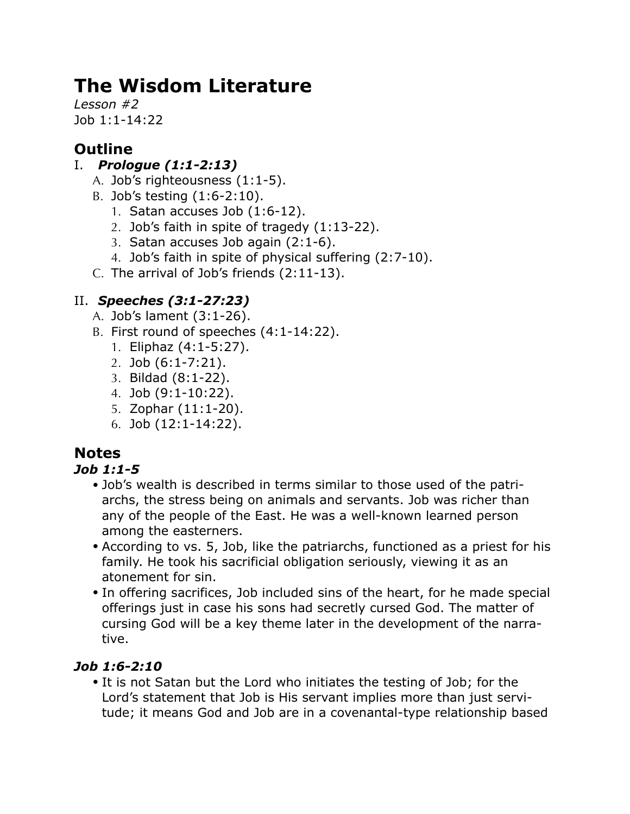# **The Wisdom Literature**

*Lesson #2* Job 1:1-14:22

# **Outline**

## I. *Prologue (1:1-2:13)*

- A. Job's righteousness (1:1-5).
- B. Job's testing (1:6-2:10).
	- 1. Satan accuses Job (1:6-12).
	- 2. Job's faith in spite of tragedy (1:13-22).
	- 3. Satan accuses Job again (2:1-6).
	- 4. Job's faith in spite of physical suffering (2:7-10).
- C. The arrival of Job's friends (2:11-13).

## II. *Speeches (3:1-27:23)*

- A. Job's lament (3:1-26).
- B. First round of speeches (4:1-14:22).
	- 1. Eliphaz (4:1-5:27).
	- 2. Job (6:1-7:21).
	- 3. Bildad (8:1-22).
	- 4. Job (9:1-10:22).
	- 5. Zophar (11:1-20).
	- 6. Job (12:1-14:22).

## **Notes**

#### *Job 1:1-5*

- Job's wealth is described in terms similar to those used of the patriarchs, the stress being on animals and servants. Job was richer than any of the people of the East. He was a well-known learned person among the easterners.
- According to vs. 5, Job, like the patriarchs, functioned as a priest for his family. He took his sacrificial obligation seriously, viewing it as an atonement for sin.
- In offering sacrifices, Job included sins of the heart, for he made special offerings just in case his sons had secretly cursed God. The matter of cursing God will be a key theme later in the development of the narrative.

#### *Job 1:6-2:10*

• It is not Satan but the Lord who initiates the testing of Job; for the Lord's statement that Job is His servant implies more than just servitude; it means God and Job are in a covenantal-type relationship based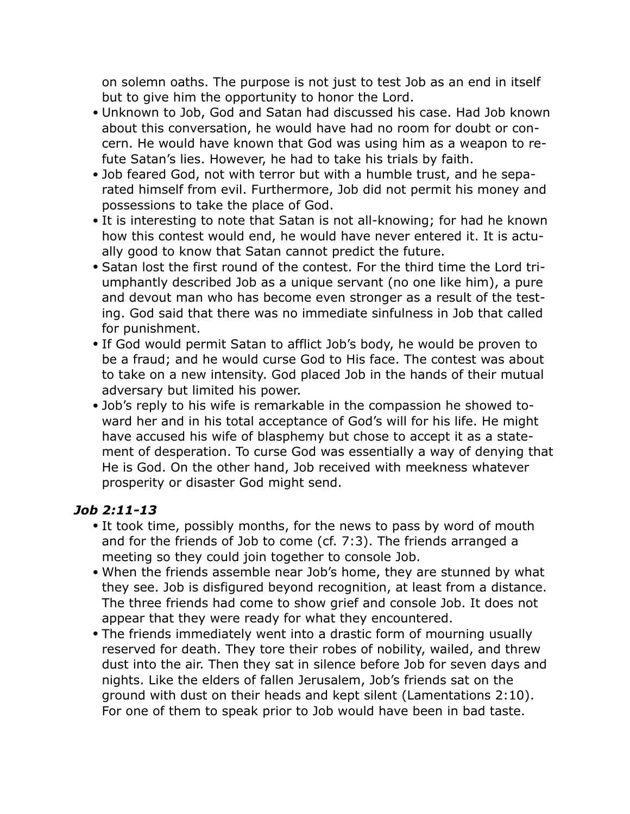on solemn oaths. The purpose is not just to test Job as an end in itself but to give him the opportunity to honor the Lord.

- Unknown to Job, God and Satan had discussed his case. Had Job known about this conversation, he would have had no room for doubt or concern. He would have known that God was using him as a weapon to refute Satan's lies. However, he had to take his trials by faith.
- Job feared God, not with terror but with a humble trust, and he separated himself from evil. Furthermore, Job did not permit his money and possessions to take the place of God.
- It is interesting to note that Satan is not all-knowing; for had he known how this contest would end, he would have never entered it. It is actually good to know that Satan cannot predict the future.
- Satan lost the first round of the contest. For the third time the Lord triumphantly described Job as a unique servant (no one like him), a pure and devout man who has become even stronger as a result of the testing. God said that there was no immediate sinfulness in Job that called for punishment.
- If God would permit Satan to afflict Job's body, he would be proven to be a fraud; and he would curse God to His face. The contest was about to take on a new intensity. God placed Job in the hands of their mutual adversary but limited his power.
- Job's reply to his wife is remarkable in the compassion he showed toward her and in his total acceptance of God's will for his life. He might have accused his wife of blasphemy but chose to accept it as a statement of desperation. To curse God was essentially a way of denying that He is God. On the other hand, Job received with meekness whatever prosperity or disaster God might send.

#### *Job 2:11-13*

- It took time, possibly months, for the news to pass by word of mouth and for the friends of Job to come (cf. 7:3). The friends arranged a meeting so they could join together to console Job.
- When the friends assemble near Job's home, they are stunned by what they see. Job is disfigured beyond recognition, at least from a distance. The three friends had come to show grief and console Job. It does not appear that they were ready for what they encountered.
- The friends immediately went into a drastic form of mourning usually reserved for death. They tore their robes of nobility, wailed, and threw dust into the air. Then they sat in silence before Job for seven days and nights. Like the elders of fallen Jerusalem, Job's friends sat on the ground with dust on their heads and kept silent (Lamentations 2:10). For one of them to speak prior to Job would have been in bad taste.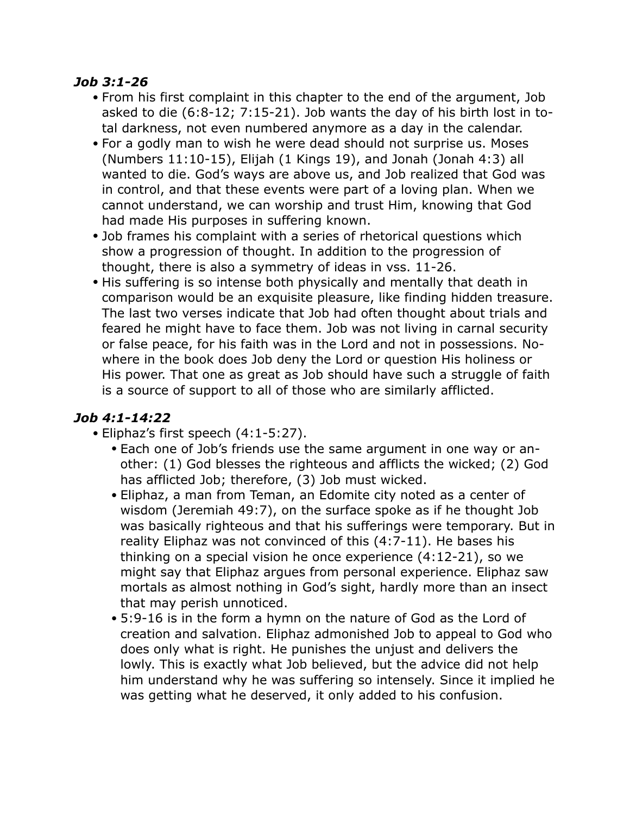#### *Job 3:1-26*

- From his first complaint in this chapter to the end of the argument, Job asked to die (6:8-12; 7:15-21). Job wants the day of his birth lost in total darkness, not even numbered anymore as a day in the calendar.
- For a godly man to wish he were dead should not surprise us. Moses (Numbers 11:10-15), Elijah (1 Kings 19), and Jonah (Jonah 4:3) all wanted to die. God's ways are above us, and Job realized that God was in control, and that these events were part of a loving plan. When we cannot understand, we can worship and trust Him, knowing that God had made His purposes in suffering known.
- Job frames his complaint with a series of rhetorical questions which show a progression of thought. In addition to the progression of thought, there is also a symmetry of ideas in vss. 11-26.
- His suffering is so intense both physically and mentally that death in comparison would be an exquisite pleasure, like finding hidden treasure. The last two verses indicate that Job had often thought about trials and feared he might have to face them. Job was not living in carnal security or false peace, for his faith was in the Lord and not in possessions. Nowhere in the book does Job deny the Lord or question His holiness or His power. That one as great as Job should have such a struggle of faith is a source of support to all of those who are similarly afflicted.

#### *Job 4:1-14:22*

- Eliphaz's first speech (4:1-5:27).
	- Each one of Job's friends use the same argument in one way or another: (1) God blesses the righteous and afflicts the wicked; (2) God has afflicted Job; therefore, (3) Job must wicked.
	- Eliphaz, a man from Teman, an Edomite city noted as a center of wisdom (Jeremiah 49:7), on the surface spoke as if he thought Job was basically righteous and that his sufferings were temporary. But in reality Eliphaz was not convinced of this (4:7-11). He bases his thinking on a special vision he once experience (4:12-21), so we might say that Eliphaz argues from personal experience. Eliphaz saw mortals as almost nothing in God's sight, hardly more than an insect that may perish unnoticed.
	- 5:9-16 is in the form a hymn on the nature of God as the Lord of creation and salvation. Eliphaz admonished Job to appeal to God who does only what is right. He punishes the unjust and delivers the lowly. This is exactly what Job believed, but the advice did not help him understand why he was suffering so intensely. Since it implied he was getting what he deserved, it only added to his confusion.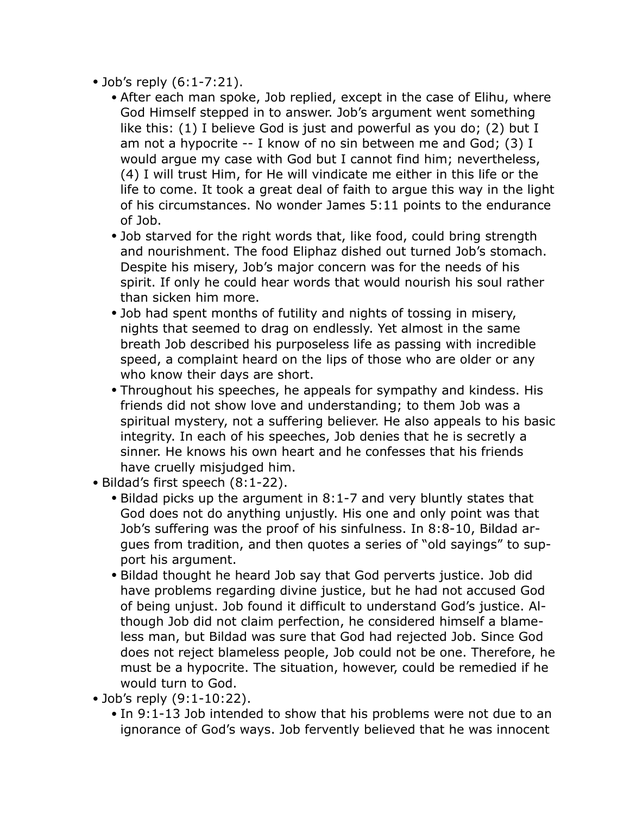- Job's reply (6:1-7:21).
	- After each man spoke, Job replied, except in the case of Elihu, where God Himself stepped in to answer. Job's argument went something like this: (1) I believe God is just and powerful as you do; (2) but I am not a hypocrite -- I know of no sin between me and God; (3) I would argue my case with God but I cannot find him; nevertheless, (4) I will trust Him, for He will vindicate me either in this life or the life to come. It took a great deal of faith to argue this way in the light of his circumstances. No wonder James 5:11 points to the endurance of Job.
	- Job starved for the right words that, like food, could bring strength and nourishment. The food Eliphaz dished out turned Job's stomach. Despite his misery, Job's major concern was for the needs of his spirit. If only he could hear words that would nourish his soul rather than sicken him more.
	- Job had spent months of futility and nights of tossing in misery, nights that seemed to drag on endlessly. Yet almost in the same breath Job described his purposeless life as passing with incredible speed, a complaint heard on the lips of those who are older or any who know their days are short.
	- Throughout his speeches, he appeals for sympathy and kindess. His friends did not show love and understanding; to them Job was a spiritual mystery, not a suffering believer. He also appeals to his basic integrity. In each of his speeches, Job denies that he is secretly a sinner. He knows his own heart and he confesses that his friends have cruelly misjudged him.
- Bildad's first speech (8:1-22).
	- Bildad picks up the argument in 8:1-7 and very bluntly states that God does not do anything unjustly. His one and only point was that Job's suffering was the proof of his sinfulness. In 8:8-10, Bildad argues from tradition, and then quotes a series of "old sayings" to support his argument.
	- Bildad thought he heard Job say that God perverts justice. Job did have problems regarding divine justice, but he had not accused God of being unjust. Job found it difficult to understand God's justice. Although Job did not claim perfection, he considered himself a blameless man, but Bildad was sure that God had rejected Job. Since God does not reject blameless people, Job could not be one. Therefore, he must be a hypocrite. The situation, however, could be remedied if he would turn to God.
- Job's reply (9:1-10:22).
	- In 9:1-13 Job intended to show that his problems were not due to an ignorance of God's ways. Job fervently believed that he was innocent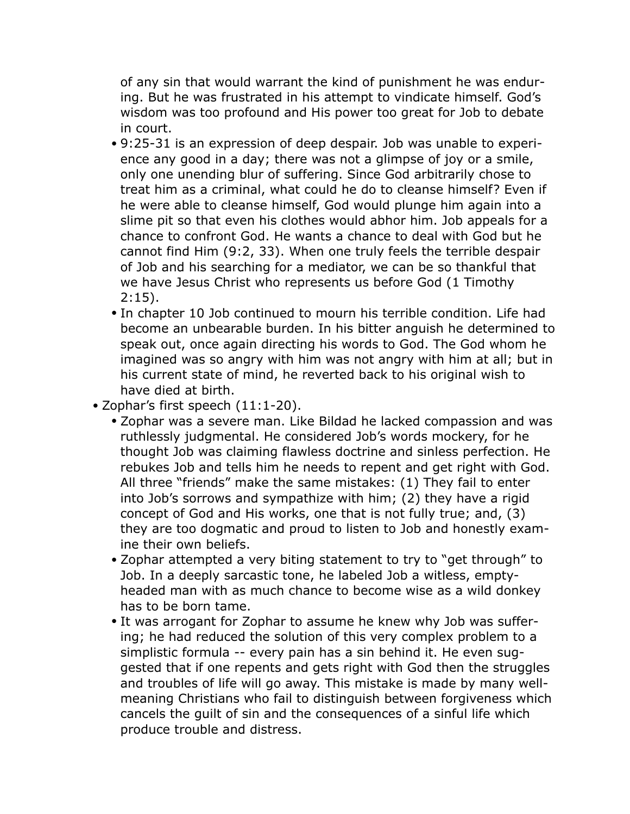of any sin that would warrant the kind of punishment he was enduring. But he was frustrated in his attempt to vindicate himself. God's wisdom was too profound and His power too great for Job to debate in court.

- 9:25-31 is an expression of deep despair. Job was unable to experience any good in a day; there was not a glimpse of joy or a smile, only one unending blur of suffering. Since God arbitrarily chose to treat him as a criminal, what could he do to cleanse himself? Even if he were able to cleanse himself, God would plunge him again into a slime pit so that even his clothes would abhor him. Job appeals for a chance to confront God. He wants a chance to deal with God but he cannot find Him (9:2, 33). When one truly feels the terrible despair of Job and his searching for a mediator, we can be so thankful that we have Jesus Christ who represents us before God (1 Timothy  $2:15$ ).
- In chapter 10 Job continued to mourn his terrible condition. Life had become an unbearable burden. In his bitter anguish he determined to speak out, once again directing his words to God. The God whom he imagined was so angry with him was not angry with him at all; but in his current state of mind, he reverted back to his original wish to have died at birth.
- Zophar's first speech (11:1-20).
	- Zophar was a severe man. Like Bildad he lacked compassion and was ruthlessly judgmental. He considered Job's words mockery, for he thought Job was claiming flawless doctrine and sinless perfection. He rebukes Job and tells him he needs to repent and get right with God. All three "friends" make the same mistakes: (1) They fail to enter into Job's sorrows and sympathize with him; (2) they have a rigid concept of God and His works, one that is not fully true; and, (3) they are too dogmatic and proud to listen to Job and honestly examine their own beliefs.
	- Zophar attempted a very biting statement to try to "get through" to Job. In a deeply sarcastic tone, he labeled Job a witless, emptyheaded man with as much chance to become wise as a wild donkey has to be born tame.
	- It was arrogant for Zophar to assume he knew why Job was suffering; he had reduced the solution of this very complex problem to a simplistic formula -- every pain has a sin behind it. He even suggested that if one repents and gets right with God then the struggles and troubles of life will go away. This mistake is made by many wellmeaning Christians who fail to distinguish between forgiveness which cancels the guilt of sin and the consequences of a sinful life which produce trouble and distress.